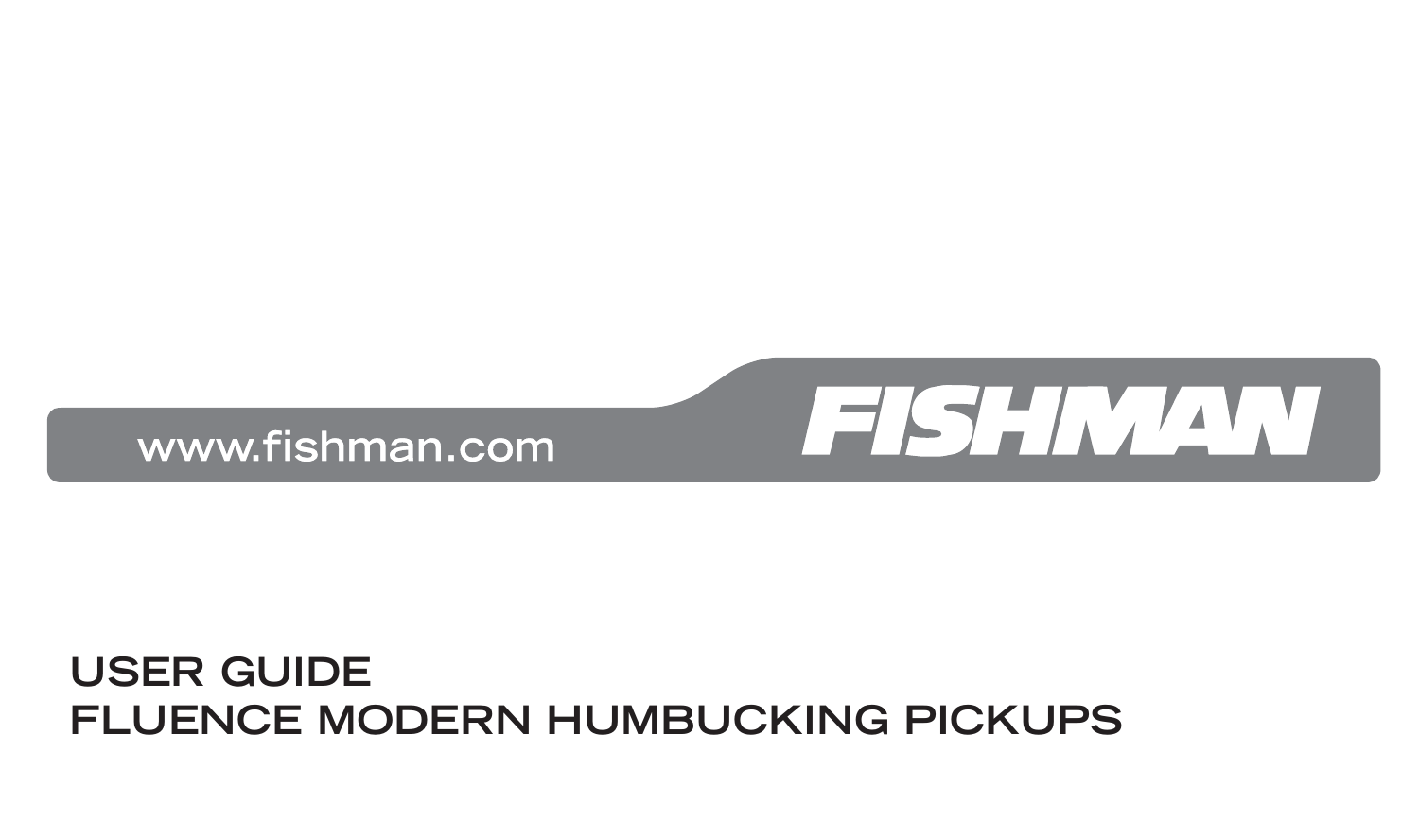#### **USER GUIDE FLUENCE MODERN HUMBUCKING PICKUPS**

www.fishman.com

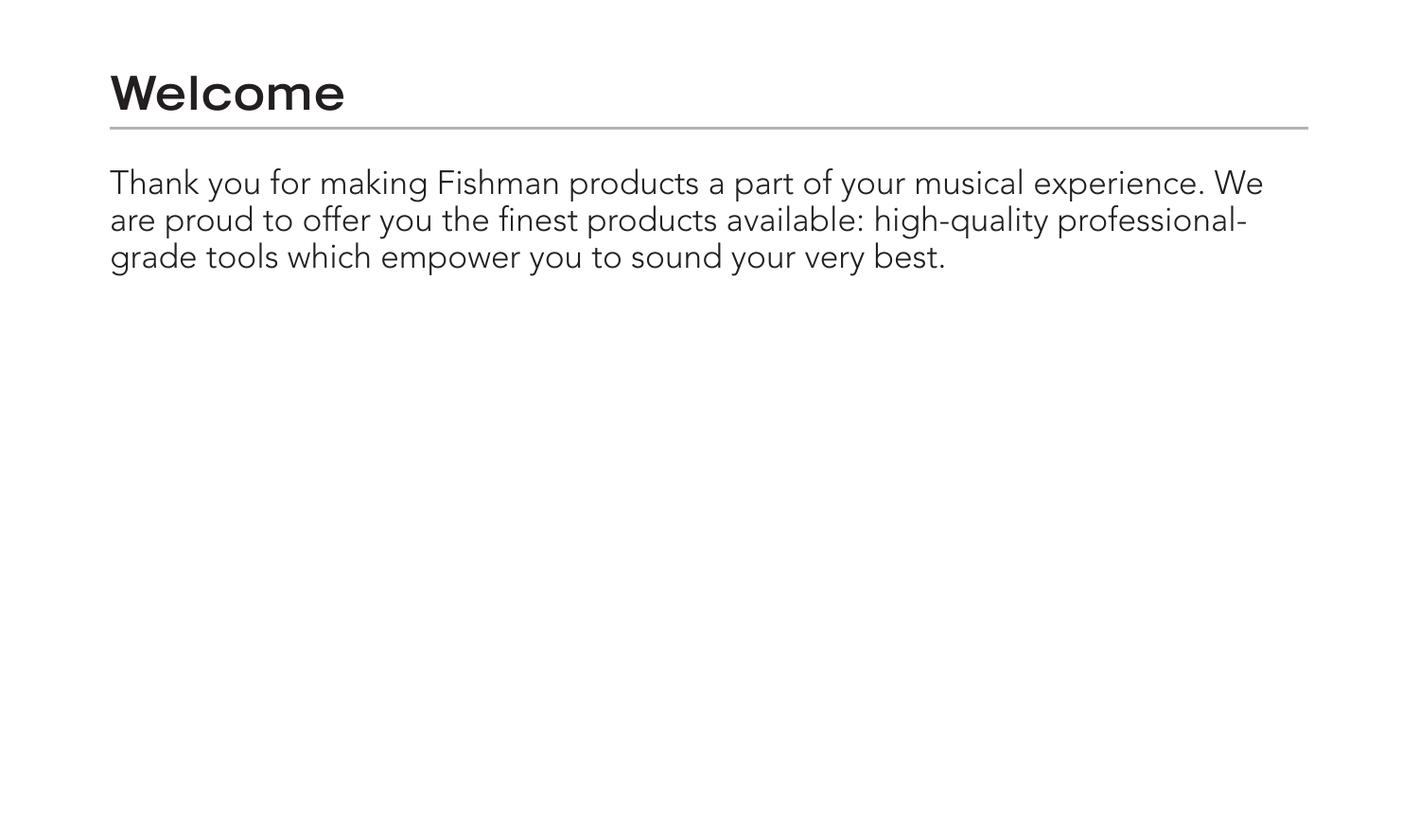#### **Welcome**

Thank you for making Fishman products a part of your musical experience. We are proud to offer you the finest products available: high-quality professionalgrade tools which empower you to sound your very best.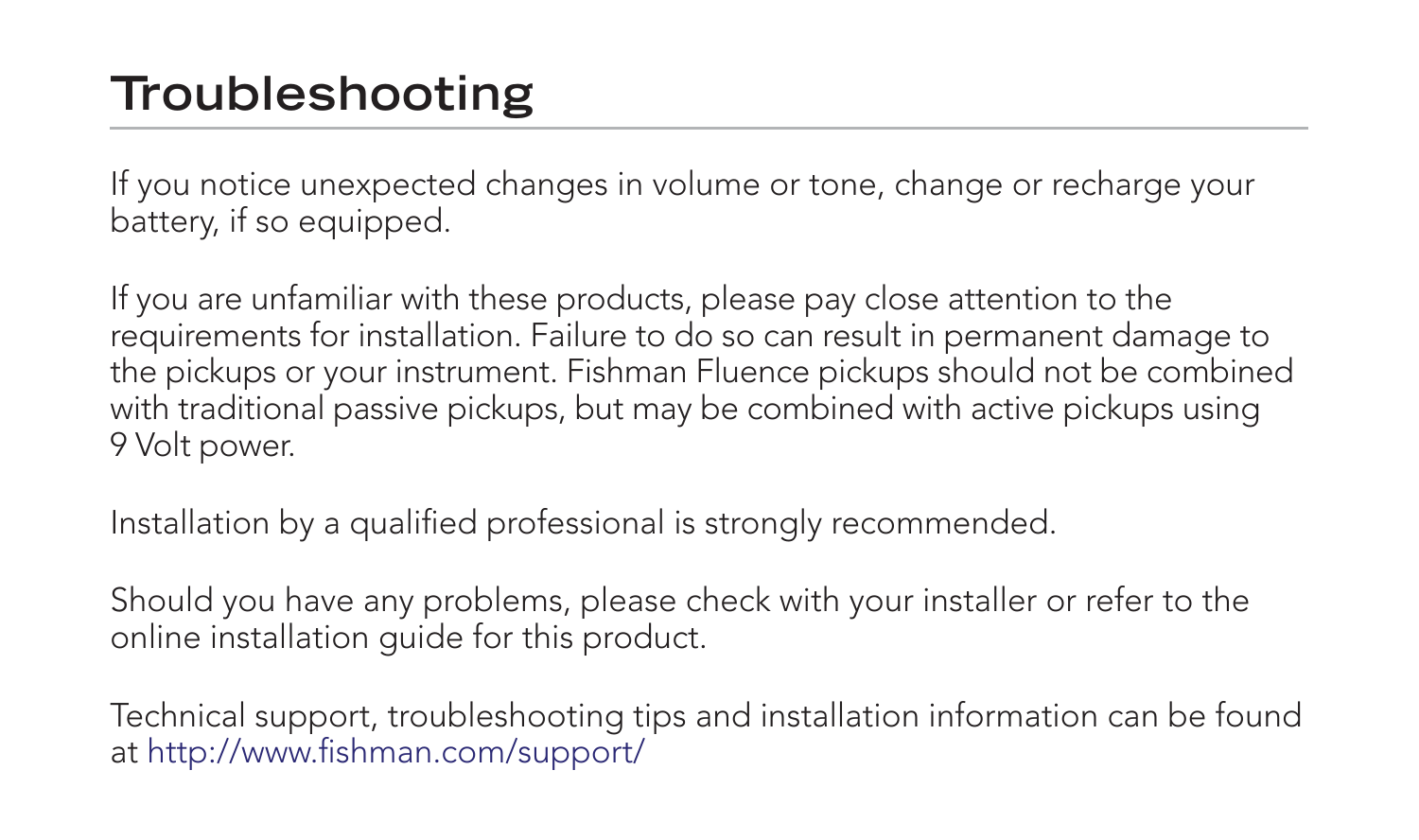### **Troubleshooting**

If you notice unexpected changes in volume or tone, change or recharge your battery, if so equipped.

If you are unfamiliar with these products, please pay close attention to the requirements for installation. Failure to do so can result in permanent damage to the pickups or your instrument. Fishman Fluence pickups should not be combined with traditional passive pickups, but may be combined with active pickups using 9 Volt power.

Installation by a qualified professional is strongly recommended.

Should you have any problems, please check with your installer or refer to the online installation guide for this product.

Technical support, troubleshooting tips and installation information can be found at http://www.fishman.com/support/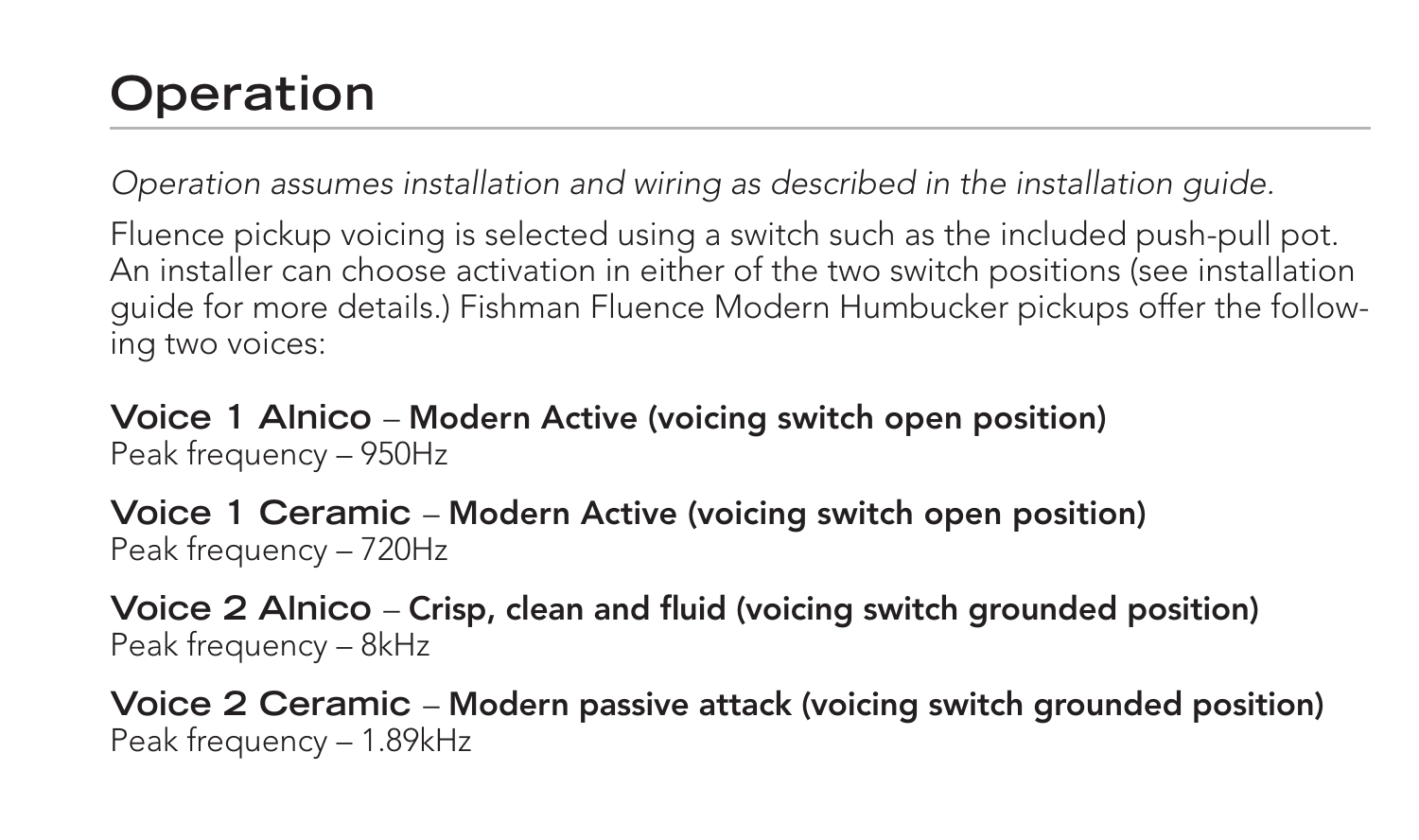## **Operation**

Operation assumes installation and wiring as described in the installation guide.

Fluence pickup voicing is selected using a switch such as the included push-pull pot. An installer can choose activation in either of the two switch positions (see installation guide for more details.) Fishman Fluence Modern Humbucker pickups offer the following two voices:

**Voice 1 Alnico** – **Modern Active (voicing switch open position)** Peak frequency – 950Hz

**Voice 1 Ceramic** – **Modern Active (voicing switch open position)** Peak frequency – 720Hz

**Voice 2 Alnico** – Crisp, clean and fluid (voicing switch grounded position) Peak frequency – 8kHz

**Voice 2 Ceramic** – **Modern passive attack (voicing switch grounded position)** Peak frequency – 1.89kHz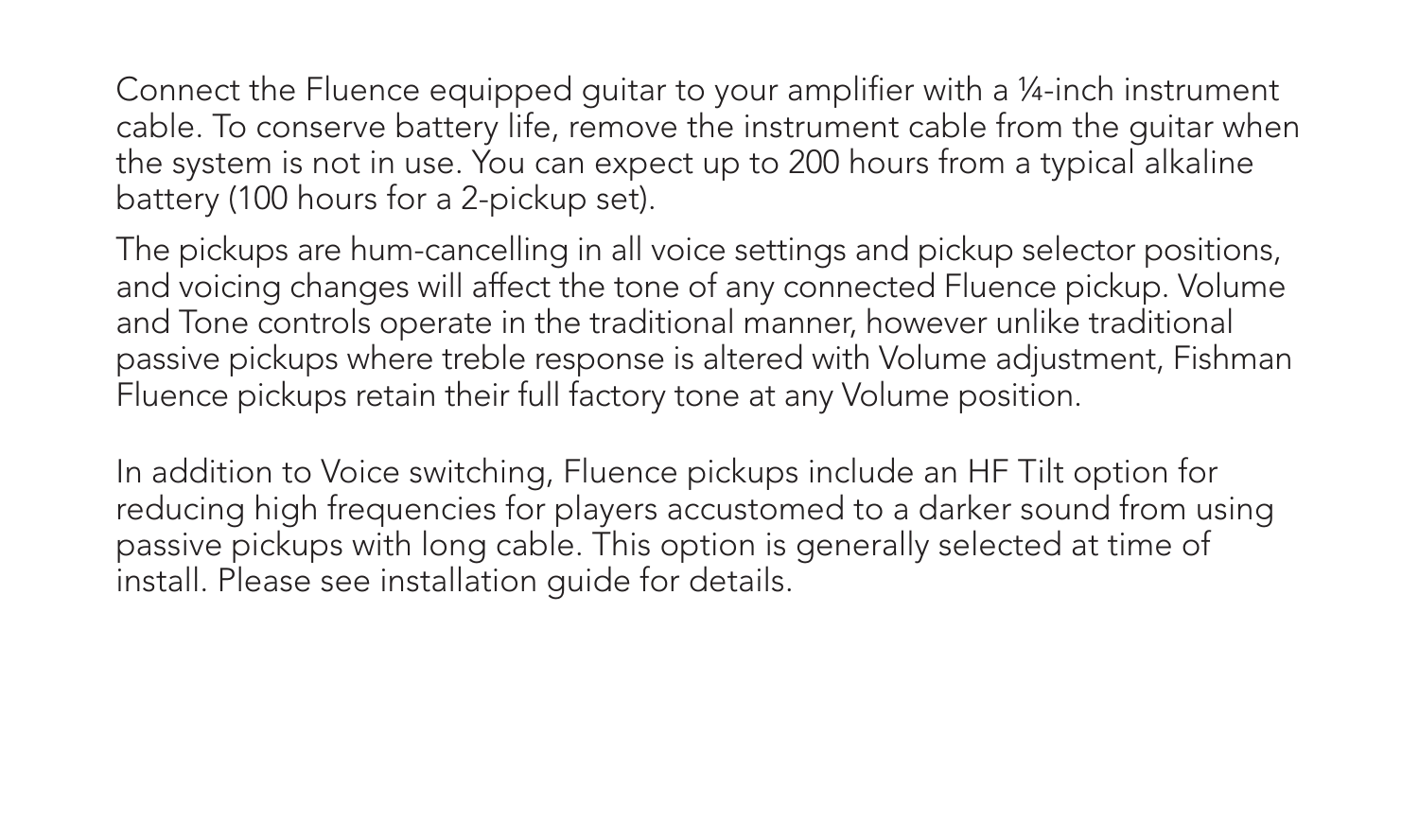Connect the Fluence equipped guitar to your amplifier with a ¼-inch instrument cable. To conserve battery life, remove the instrument cable from the guitar when the system is not in use. You can expect up to 200 hours from a typical alkaline battery (100 hours for a 2-pickup set).

The pickups are hum-cancelling in all voice settings and pickup selector positions, and voicing changes will affect the tone of any connected Fluence pickup. Volume and Tone controls operate in the traditional manner, however unlike traditional passive pickups where treble response is altered with Volume adjustment, Fishman Fluence pickups retain their full factory tone at any Volume position.

In addition to Voice switching, Fluence pickups include an HF Tilt option for reducing high frequencies for players accustomed to a darker sound from using passive pickups with long cable. This option is generally selected at time of install. Please see installation guide for details.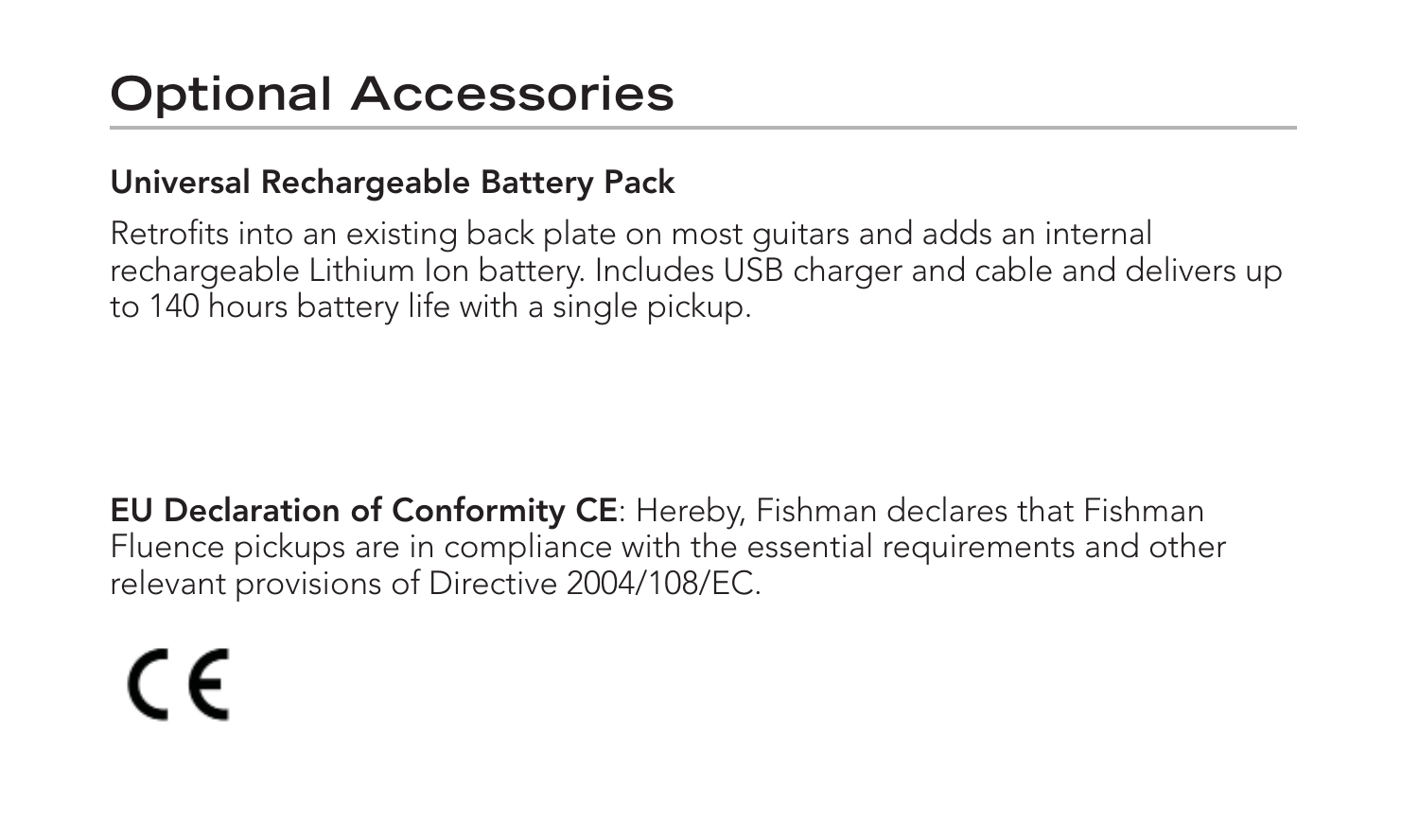#### **Optional Accessories**

#### **Universal Rechargeable Battery Pack**

Retrofits into an existing back plate on most guitars and adds an internal rechargeable Lithium Ion battery. Includes USB charger and cable and delivers up to 140 hours battery life with a single pickup.

**EU Declaration of Conformity CE**: Hereby, Fishman declares that Fishman Fluence pickups are in compliance with the essential requirements and other relevant provisions of Directive 2004/108/EC.

# C E